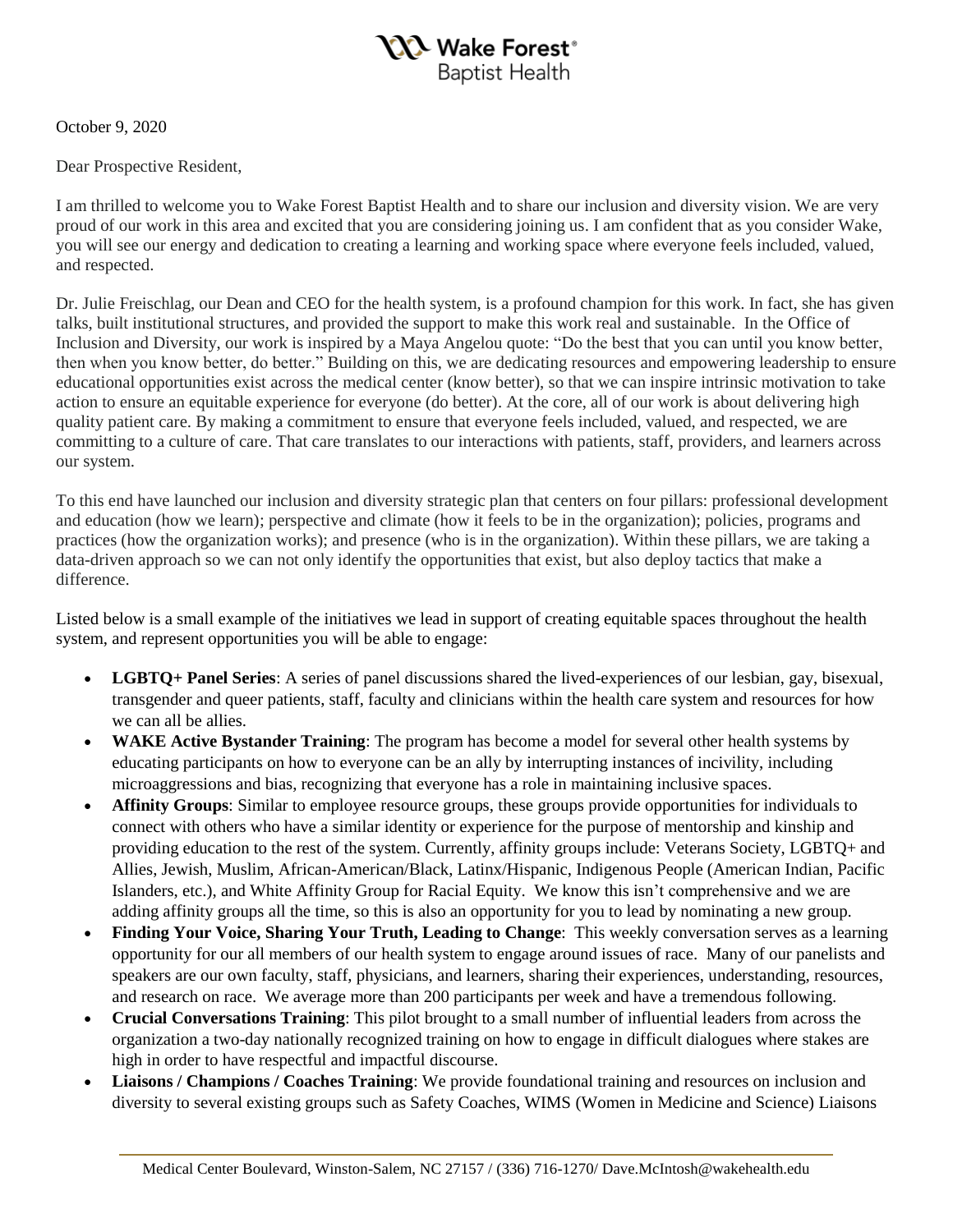

October 9, 2020

Dear Prospective Resident,

I am thrilled to welcome you to Wake Forest Baptist Health and to share our inclusion and diversity vision. We are very proud of our work in this area and excited that you are considering joining us. I am confident that as you consider Wake, you will see our energy and dedication to creating a learning and working space where everyone feels included, valued, and respected.

Dr. Julie Freischlag, our Dean and CEO for the health system, is a profound champion for this work. In fact, she has given talks, built institutional structures, and provided the support to make this work real and sustainable. In the Office of Inclusion and Diversity, our work is inspired by a Maya Angelou quote: "Do the best that you can until you know better, then when you know better, do better." Building on this, we are dedicating resources and empowering leadership to ensure educational opportunities exist across the medical center (know better), so that we can inspire intrinsic motivation to take action to ensure an equitable experience for everyone (do better). At the core, all of our work is about delivering high quality patient care. By making a commitment to ensure that everyone feels included, valued, and respected, we are committing to a culture of care. That care translates to our interactions with patients, staff, providers, and learners across our system.

To this end have launched our inclusion and diversity strategic plan that centers on four pillars: professional development and education (how we learn); perspective and climate (how it feels to be in the organization); policies, programs and practices (how the organization works); and presence (who is in the organization). Within these pillars, we are taking a data-driven approach so we can not only identify the opportunities that exist, but also deploy tactics that make a difference.

Listed below is a small example of the initiatives we lead in support of creating equitable spaces throughout the health system, and represent opportunities you will be able to engage:

- **LGBTQ+ Panel Series**: A series of panel discussions shared the lived-experiences of our lesbian, gay, bisexual, transgender and queer patients, staff, faculty and clinicians within the health care system and resources for how we can all be allies.
- **WAKE Active Bystander Training**: The program has become a model for several other health systems by educating participants on how to everyone can be an ally by interrupting instances of incivility, including microaggressions and bias, recognizing that everyone has a role in maintaining inclusive spaces.
- **Affinity Groups**: Similar to employee resource groups, these groups provide opportunities for individuals to connect with others who have a similar identity or experience for the purpose of mentorship and kinship and providing education to the rest of the system. Currently, affinity groups include: Veterans Society, LGBTQ+ and Allies, Jewish, Muslim, African-American/Black, Latinx/Hispanic, Indigenous People (American Indian, Pacific Islanders, etc.), and White Affinity Group for Racial Equity. We know this isn't comprehensive and we are adding affinity groups all the time, so this is also an opportunity for you to lead by nominating a new group.
- **Finding Your Voice, Sharing Your Truth, Leading to Change**: This weekly conversation serves as a learning opportunity for our all members of our health system to engage around issues of race. Many of our panelists and speakers are our own faculty, staff, physicians, and learners, sharing their experiences, understanding, resources, and research on race. We average more than 200 participants per week and have a tremendous following.
- **Crucial Conversations Training**: This pilot brought to a small number of influential leaders from across the organization a two-day nationally recognized training on how to engage in difficult dialogues where stakes are high in order to have respectful and impactful discourse.
- **Liaisons / Champions / Coaches Training**: We provide foundational training and resources on inclusion and diversity to several existing groups such as Safety Coaches, WIMS (Women in Medicine and Science) Liaisons